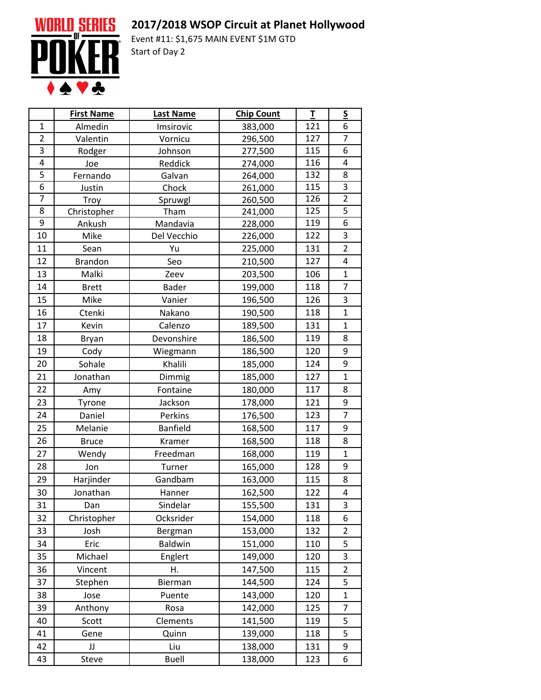## **2017/2018 WSOP Circuit at Planet Hollywood**



Event #11: \$1,675 MAIN EVENT \$1M GTD Start of Day 2

|                | <b>First Name</b> | <b>Last Name</b> | <b>Chip Count</b> | $\mathbf I$ | $\underline{\mathsf{S}}$ |
|----------------|-------------------|------------------|-------------------|-------------|--------------------------|
| $\mathbf{1}$   | Almedin           | Imsirovic        | 383,000           | 121         | 6                        |
| $\overline{2}$ | Valentin          | Vornicu          | 296,500           | 127         | $\overline{7}$           |
| 3              | Rodger            | Johnson          | 277,500           | 115         | 6                        |
| 4              | Joe               | Reddick          | 274,000           | 116         | 4                        |
| $\overline{5}$ | Fernando          | Galvan           | 264,000           | 132         | 8                        |
| $\overline{6}$ | Justin            | Chock            | 261,000           | 115         | $\overline{3}$           |
| 7              | Troy              | Spruwgl          | 260,500           | 126         | $\overline{2}$           |
| 8              | Christopher       | Tham             | 241,000           | 125         | 5                        |
| 9              | Ankush            | Mandavia         | 228,000           | 119         | 6                        |
| 10             | Mike              | Del Vecchio      | 226,000           | 122         | 3                        |
| 11             | Sean              | Yu               | 225,000           | 131         | $\overline{2}$           |
| 12             | <b>Brandon</b>    | Seo              | 210,500           | 127         | 4                        |
| 13             | Malki             | Zeev             | 203,500           | 106         | $\mathbf{1}$             |
| 14             | <b>Brett</b>      | <b>Bader</b>     | 199,000           | 118         | $\overline{7}$           |
| 15             | Mike              | Vanier           | 196,500           | 126         | 3                        |
| 16             | Ctenki            | Nakano           | 190,500           | 118         | $\mathbf{1}$             |
| 17             | Kevin             | Calenzo          | 189,500           | 131         | $\mathbf{1}$             |
| 18             | Bryan             | Devonshire       | 186,500           | 119         | 8                        |
| 19             | Cody              | Wiegmann         | 186,500           | 120         | 9                        |
| 20             | Sohale            | Khalili          | 185,000           | 124         | 9                        |
| 21             | Jonathan          | Dimmig           | 185,000           | 127         | $\mathbf{1}$             |
| 22             | Amy               | Fontaine         | 180,000           | 117         | 8                        |
| 23             | Tyrone            | Jackson          | 178,000           | 121         | 9                        |
| 24             | Daniel            | Perkins          | 176,500           | 123         | $\overline{7}$           |
| 25             | Melanie           | <b>Banfield</b>  | 168,500           | 117         | 9                        |
| 26             | <b>Bruce</b>      | Kramer           | 168,500           | 118         | 8                        |
| 27             | Wendy             | Freedman         | 168,000           | 119         | $\mathbf{1}$             |
| 28             | Jon               | Turner           | 165,000           | 128         | 9                        |
| 29             | Harjinder         | Gandbam          | 163,000           | 115         | 8                        |
| 30             | Jonathan          | Hanner           | 162,500           | 122         | 4                        |
| 31             | Dan               | Sindelar         | 155,500           | 131         | 3                        |
| 32             | Christopher       | Ocksrider        | 154,000           | 118         | 6                        |
| 33             | Josh              | Bergman          | 153,000           | 132         | $\overline{2}$           |
| 34             | Eric              | <b>Baldwin</b>   | 151,000           | 110         | 5                        |
| 35             | Michael           | Englert          | 149,000           | 120         | 3                        |
| 36             | Vincent           | Η.               | 147,500           | 115         | $\overline{2}$           |
| 37             | Stephen           | Bierman          | 144,500           | 124         | 5                        |
| 38             | Jose              | Puente           | 143,000           | 120         | $\mathbf{1}$             |
| 39             | Anthony           | Rosa             | 142,000           | 125         | 7                        |
| 40             | Scott             | Clements         | 141,500           | 119         | 5                        |
| 41             | Gene              | Quinn            | 139,000           | 118         | 5                        |
| 42             | JJ                | Liu              | 138,000           | 131         | 9                        |
| 43             | Steve             | <b>Buell</b>     | 138,000           | 123         | 6                        |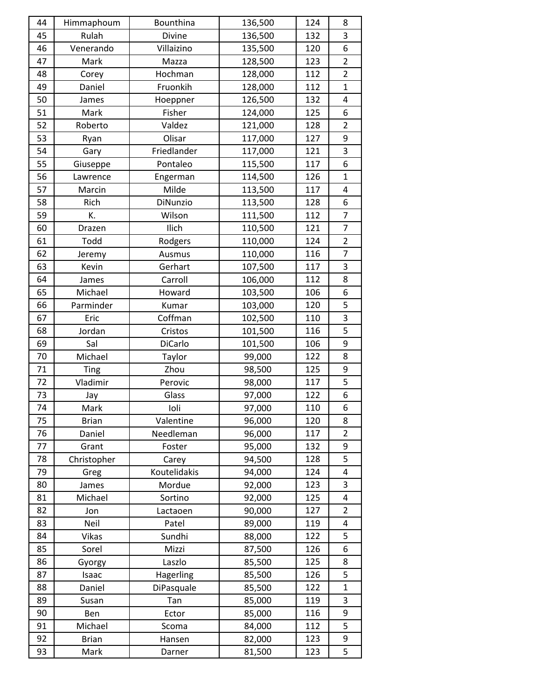| 44 | Himmaphoum   | Bounthina    | 136,500 | 124 | 8              |
|----|--------------|--------------|---------|-----|----------------|
| 45 | Rulah        | Divine       | 136,500 | 132 | 3              |
| 46 | Venerando    | Villaizino   | 135,500 | 120 | 6              |
| 47 | Mark         | Mazza        | 128,500 | 123 | $\overline{2}$ |
| 48 | Corey        | Hochman      | 128,000 | 112 | $\overline{2}$ |
| 49 | Daniel       | Fruonkih     | 128,000 | 112 | 1              |
| 50 | James        | Hoeppner     | 126,500 | 132 | 4              |
| 51 | Mark         | Fisher       | 124,000 | 125 | 6              |
| 52 | Roberto      | Valdez       | 121,000 | 128 | $\overline{2}$ |
| 53 | Ryan         | Olisar       | 117,000 | 127 | 9              |
| 54 | Gary         | Friedlander  | 117,000 | 121 | 3              |
| 55 | Giuseppe     | Pontaleo     | 115,500 | 117 | 6              |
| 56 | Lawrence     | Engerman     | 114,500 | 126 | $\mathbf{1}$   |
| 57 | Marcin       | Milde        | 113,500 | 117 | 4              |
| 58 | Rich         | DiNunzio     | 113,500 | 128 | 6              |
| 59 | К.           | Wilson       | 111,500 | 112 | $\overline{7}$ |
| 60 | Drazen       | Ilich        | 110,500 | 121 | $\overline{7}$ |
| 61 | Todd         | Rodgers      | 110,000 | 124 | $\overline{2}$ |
| 62 | Jeremy       | Ausmus       | 110,000 | 116 | $\overline{7}$ |
| 63 | Kevin        | Gerhart      | 107,500 | 117 | 3              |
| 64 | James        | Carroll      | 106,000 | 112 | 8              |
| 65 | Michael      | Howard       | 103,500 | 106 | 6              |
| 66 | Parminder    | Kumar        | 103,000 | 120 | 5              |
| 67 | Eric         | Coffman      | 102,500 | 110 | 3              |
| 68 | Jordan       | Cristos      | 101,500 | 116 | 5              |
| 69 | Sal          | DiCarlo      | 101,500 | 106 | 9              |
| 70 | Michael      | Taylor       | 99,000  | 122 | 8              |
| 71 | Ting         | Zhou         | 98,500  | 125 | 9              |
| 72 | Vladimir     | Perovic      | 98,000  | 117 | 5              |
| 73 | Jay          | Glass        | 97,000  | 122 | 6              |
| 74 | Mark         | Ioli         | 97,000  | 110 | 6              |
| 75 | <b>Brian</b> | Valentine    | 96,000  | 120 | 8              |
| 76 | Daniel       | Needleman    | 96,000  | 117 | $\overline{2}$ |
| 77 | Grant        | Foster       | 95,000  | 132 | 9              |
| 78 | Christopher  | Carey        | 94,500  | 128 | 5              |
| 79 | Greg         | Koutelidakis | 94,000  | 124 | 4              |
| 80 | James        | Mordue       | 92,000  | 123 | 3              |
| 81 | Michael      | Sortino      | 92,000  | 125 | 4              |
| 82 | Jon          | Lactaoen     | 90,000  | 127 | $\overline{2}$ |
| 83 | Neil         | Patel        | 89,000  | 119 | 4              |
| 84 | <b>Vikas</b> | Sundhi       | 88,000  | 122 | 5              |
| 85 | Sorel        | Mizzi        | 87,500  | 126 | 6              |
| 86 | Gyorgy       | Laszlo       | 85,500  | 125 | 8              |
| 87 | Isaac        | Hagerling    | 85,500  | 126 | 5              |
| 88 | Daniel       | DiPasquale   | 85,500  | 122 | $\mathbf{1}$   |
| 89 | Susan        | Tan          | 85,000  | 119 | 3              |
| 90 | Ben          | Ector        | 85,000  | 116 | 9              |
| 91 | Michael      | Scoma        | 84,000  | 112 | 5              |
| 92 | <b>Brian</b> | Hansen       | 82,000  | 123 | 9              |
| 93 | Mark         | Darner       | 81,500  | 123 | 5              |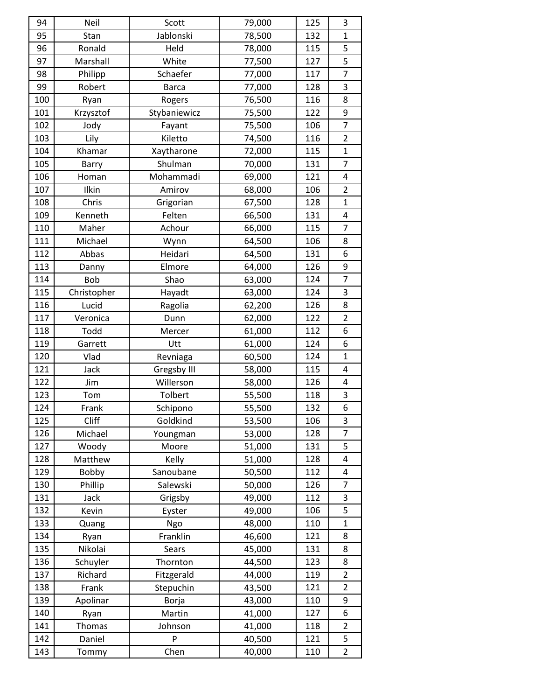| 94         | Neil        | Scott             | 79,000           | 125 | 3                   |
|------------|-------------|-------------------|------------------|-----|---------------------|
| 95         | Stan        | Jablonski         | 78,500           | 132 | $\mathbf{1}$        |
| 96         | Ronald      | Held              | 78,000           | 115 | 5                   |
| 97         | Marshall    | White             | 77,500           | 127 | 5                   |
| 98         | Philipp     | Schaefer          | 77,000           | 117 | $\overline{7}$      |
| 99         | Robert      | <b>Barca</b>      | 77,000           | 128 | 3                   |
| 100        | Ryan        | Rogers            | 76,500           | 116 | 8                   |
| 101        | Krzysztof   | Stybaniewicz      | 75,500           | 122 | 9                   |
| 102        | Jody        | Fayant            | 75,500           | 106 | $\overline{7}$      |
| 103        | Lily        | Kiletto           | 74,500           | 116 | $\overline{2}$      |
| 104        | Khamar      | Xaytharone        | 72,000           | 115 | $\mathbf{1}$        |
| 105        | Barry       | Shulman           | 70,000           | 131 | $\overline{7}$      |
| 106        | Homan       | Mohammadi         | 69,000           | 121 | 4                   |
| 107        | Ilkin       | Amirov            | 68,000           | 106 | $\overline{2}$      |
| 108        | Chris       | Grigorian         | 67,500           | 128 | $\mathbf{1}$        |
| 109        | Kenneth     | Felten            | 66,500           | 131 | 4                   |
| 110        | Maher       | Achour            | 66,000           | 115 | $\overline{7}$      |
| 111        | Michael     | Wynn              | 64,500           | 106 | 8                   |
| 112        | Abbas       | Heidari           | 64,500           | 131 | 6                   |
| 113        | Danny       | Elmore            | 64,000           | 126 | 9                   |
| 114        | <b>Bob</b>  | Shao              | 63,000           | 124 | $\overline{7}$      |
| 115        | Christopher | Hayadt            | 63,000           | 124 | 3                   |
| 116        | Lucid       | Ragolia           | 62,200           | 126 | 8                   |
| 117        | Veronica    | Dunn              | 62,000           | 122 | $\overline{2}$      |
| 118        | Todd        | Mercer            | 61,000           | 112 | 6                   |
|            |             |                   |                  |     |                     |
| 119        | Garrett     | Utt               | 61,000           | 124 | 6                   |
| 120        | Vlad        | Revniaga          | 60,500           | 124 | $\mathbf{1}$        |
| 121        | Jack        | Gregsby III       | 58,000           | 115 | 4                   |
| 122        | Jim         | Willerson         | 58,000           | 126 | 4                   |
| 123        | Tom         | Tolbert           | 55,500           | 118 | 3                   |
| 124        | Frank       | Schipono          | 55,500           | 132 | 6                   |
| 125        | Cliff       | Goldkind          | 53,500           | 106 | 3                   |
| 126        | Michael     | Youngman          | 53,000           | 128 | $\overline{7}$      |
| 127        | Woody       | Moore             | 51,000           | 131 | 5                   |
| 128        | Matthew     | Kelly             | 51,000           | 128 | 4                   |
| 129        | Bobby       | Sanoubane         | 50,500           | 112 | 4                   |
| 130        | Phillip     | Salewski          | 50,000           | 126 | 7                   |
| 131        | Jack        | Grigsby           | 49,000           | 112 | 3                   |
| 132        | Kevin       | Eyster            | 49,000           | 106 | 5                   |
| 133        | Quang       | Ngo               | 48,000           | 110 | $\mathbf{1}$        |
| 134        | Ryan        | Franklin          | 46,600           | 121 | 8                   |
| 135        | Nikolai     | Sears             | 45,000           | 131 | 8                   |
| 136        | Schuyler    | Thornton          | 44,500           | 123 | 8                   |
| 137        | Richard     | Fitzgerald        | 44,000           | 119 | $\overline{2}$      |
| 138        | Frank       | Stepuchin         | 43,500           | 121 | $\overline{2}$      |
| 139        | Apolinar    | Borja             | 43,000           | 110 | 9                   |
| 140        | Ryan        | Martin            | 41,000           | 127 | 6                   |
| 141        | Thomas      | Johnson           | 41,000           | 118 | $\overline{2}$      |
| 142<br>143 | Daniel      | ${\sf P}$<br>Chen | 40,500<br>40,000 | 121 | 5<br>$\overline{2}$ |